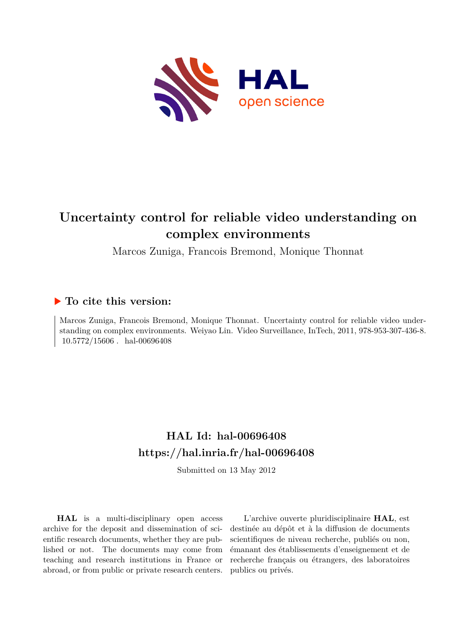

# **Uncertainty control for reliable video understanding on complex environments**

Marcos Zuniga, Francois Bremond, Monique Thonnat

# **To cite this version:**

Marcos Zuniga, Francois Bremond, Monique Thonnat. Uncertainty control for reliable video understanding on complex environments. Weiyao Lin. Video Surveillance, InTech, 2011, 978-953-307-436-8.  $10.5772/15606$ . hal-00696408

# **HAL Id: hal-00696408 <https://hal.inria.fr/hal-00696408>**

Submitted on 13 May 2012

**HAL** is a multi-disciplinary open access archive for the deposit and dissemination of scientific research documents, whether they are published or not. The documents may come from teaching and research institutions in France or abroad, or from public or private research centers.

L'archive ouverte pluridisciplinaire **HAL**, est destinée au dépôt et à la diffusion de documents scientifiques de niveau recherche, publiés ou non, émanant des établissements d'enseignement et de recherche français ou étrangers, des laboratoires publics ou privés.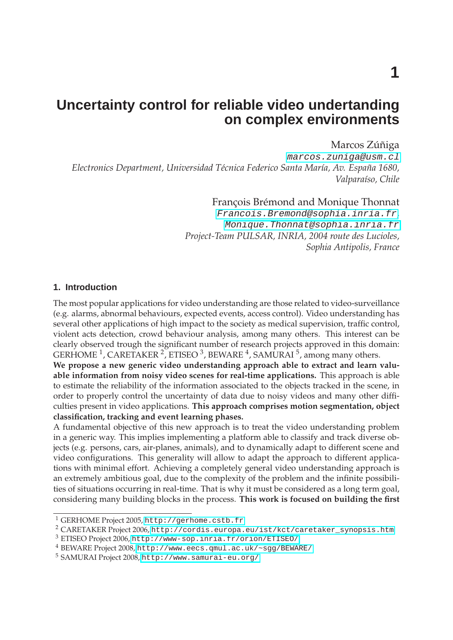# **Uncertainty control for reliable video undertanding on complex environments**

# Marcos Zúñiga

<marcos.zuniga@usm.cl> *Electronics Department, Universidad Técnica Federico Santa María, Av. España 1680, Valparaíso, Chile*

# François Brémond and Monique Thonnat

<Francois.Bremond@sophia.inria.fr>*,* <Monique.Thonnat@sophia.inria.fr> *Project-Team PULSAR, INRIA, 2004 route des Lucioles, Sophia Antipolis, France*

# **1. Introduction**

The most popular applications for video understanding are those related to video-surveillance (e.g. alarms, abnormal behaviours, expected events, access control). Video understanding has several other applications of high impact to the society as medical supervision, traffic control, violent acts detection, crowd behaviour analysis, among many others. This interest can be clearly observed trough the significant number of research projects approved in this domain: GERHOME<sup>1</sup>, CARETAKER<sup>2</sup>, ETISEO<sup>3</sup>, BEWARE<sup>4</sup>, SAMURAI<sup>5</sup>, among many others.

**We propose a new generic video understanding approach able to extract and learn valuable information from noisy video scenes for real-time applications.** This approach is able to estimate the reliability of the information associated to the objects tracked in the scene, in order to properly control the uncertainty of data due to noisy videos and many other difficulties present in video applications. **This approach comprises motion segmentation, object classification, tracking and event learning phases.**

A fundamental objective of this new approach is to treat the video understanding problem in a generic way. This implies implementing a platform able to classify and track diverse objects (e.g. persons, cars, air-planes, animals), and to dynamically adapt to different scene and video configurations. This generality will allow to adapt the approach to different applications with minimal effort. Achieving a completely general video understanding approach is an extremely ambitious goal, due to the complexity of the problem and the infinite possibilities of situations occurring in real-time. That is why it must be considered as a long term goal, considering many building blocks in the process. **This work is focused on building the first**

<sup>1</sup> GERHOME Project 2005, <http://gerhome.cstb.fr>

<sup>&</sup>lt;sup>2</sup> CARETAKER Project 2006, [http://cordis.europa.eu/ist/kct/caretaker\\_synopsis.htm](http://cordis.europa.eu/ist/kct/caretaker_synopsis.htm)

<sup>3</sup> ETISEO Project 2006, <http://www-sop.inria.fr/orion/ETISEO/>

<sup>4</sup> BEWARE Project 2008, <http://www.eecs.qmul.ac.uk/~sgg/BEWARE/>

<sup>5</sup> SAMURAI Project 2008, <http://www.samurai-eu.org/>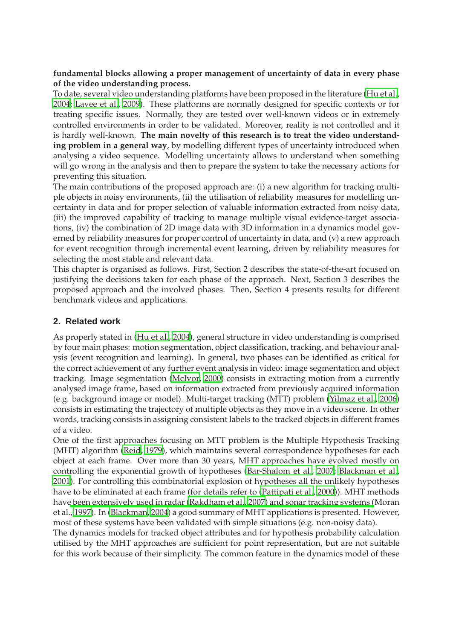# **fundamental blocks allowing a proper management of uncertainty of data in every phase of the video understanding process.**

To date, several video understanding platforms have been proposed in the literature [\(Hu et al.,](#page-25-0) [2004;](#page-25-0) [Lavee et al., 2009\)](#page-25-1). These platforms are normally designed for specific contexts or for treating specific issues. Normally, they are tested over well-known videos or in extremely controlled environments in order to be validated. Moreover, reality is not controlled and it is hardly well-known. **The main novelty of this research is to treat the video understanding problem in a general way**, by modelling different types of uncertainty introduced when analysing a video sequence. Modelling uncertainty allows to understand when something will go wrong in the analysis and then to prepare the system to take the necessary actions for preventing this situation.

The main contributions of the proposed approach are: (i) a new algorithm for tracking multiple objects in noisy environments, (ii) the utilisation of reliability measures for modelling uncertainty in data and for proper selection of valuable information extracted from noisy data, (iii) the improved capability of tracking to manage multiple visual evidence-target associations, (iv) the combination of 2D image data with 3D information in a dynamics model governed by reliability measures for proper control of uncertainty in data, and (v) a new approach for event recognition through incremental event learning, driven by reliability measures for selecting the most stable and relevant data.

This chapter is organised as follows. First, Section 2 describes the state-of-the-art focused on justifying the decisions taken for each phase of the approach. Next, Section 3 describes the proposed approach and the involved phases. Then, Section 4 presents results for different benchmark videos and applications.

# <span id="page-2-0"></span>**2. Related work**

As properly stated in [\(Hu et al., 2004](#page-25-0)), general structure in video understanding is comprised by four main phases: motion segmentation, object classification, tracking, and behaviour analysis (event recognition and learning). In general, two phases can be identified as critical for the correct achievement of any further event analysis in video: image segmentation and object tracking. Image segmentation [\(McIvor](#page-25-2), [2000](#page-25-2)) consists in extracting motion from a currently analysed image frame, based on information extracted from previously acquired information (e.g. background image or model). Multi-target tracking (MTT) problem [\(Yilmaz et al., 2006](#page-26-0)) consists in estimating the trajectory of multiple objects as they move in a video scene. In other words, tracking consists in assigning consistent labels to the tracked objects in different frames of a video.

One of the first approaches focusing on MTT problem is the Multiple Hypothesis Tracking (MHT) algorithm [\(Reid, 1979\)](#page-26-1), which maintains several correspondence hypotheses for each object at each frame. Over more than 30 years, MHT approaches have evolved mostly on controlling the exponential growth of hypotheses [\(Bar-Shalom et al., 2007](#page-25-3); [Blackman et al.,](#page-25-4) [2001\)](#page-25-4). For controlling this combinatorial explosion of hypotheses all the unlikely hypotheses have to be eliminated at each frame (for details refer to [\(Pattipati et al.](#page-26-2), [2000\)](#page-26-2)). MHT methods hav[e been extensively used in radar](#page-26-4) [\(Rakdham et al.](#page-26-3)[,](#page-26-4) [2007](#page-26-3)[\) and sonar tracking systems \(](#page-26-4)Moran et al., [1997\)](#page-26-4). In [\(Blackman, 2004\)](#page-25-5) a good summary of MHT applications is presented. However, most of these systems have been validated with simple situations (e.g. non-noisy data).

The dynamics models for tracked object attributes and for hypothesis probability calculation utilised by the MHT approaches are sufficient for point representation, but are not suitable for this work because of their simplicity. The common feature in the dynamics model of these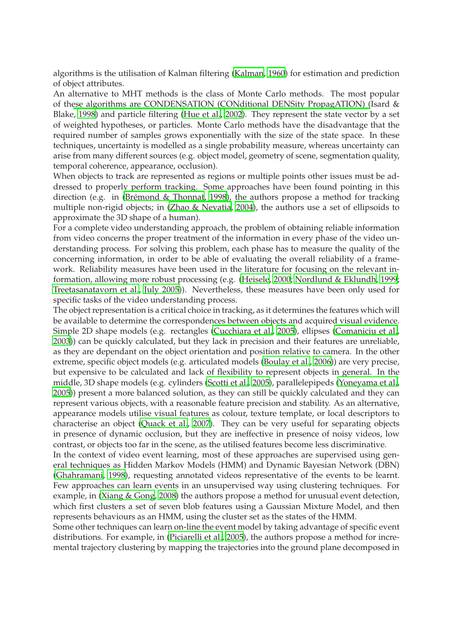algorithms is the utilisation of Kalman filtering [\(Kalman, 1960](#page-25-6)) for estimation and prediction of object attributes.

An alternative to MHT methods is the class of Monte Carlo methods. The most popular of th[ese algorithms are CONDENSATION \(CONditional DENSity PropagATION\) \(](#page-25-7)Isard & Blake, [1998\)](#page-25-7) and particle filtering [\(Hue et al., 2002\)](#page-25-8). They represent the state vector by a set of weighted hypotheses, or particles. Monte Carlo methods have the disadvantage that the required number of samples grows exponentially with the size of the state space. In these techniques, uncertainty is modelled as a single probability measure, whereas uncertainty can arise from many different sources (e.g. object model, geometry of scene, segmentation quality, temporal coherence, appearance, occlusion).

When objects to track are represented as regions or multiple points other issues must be addressed to properly perform tracking. Some approaches have been found pointing in this direction (e.g. in [\(Brémond & Thonnat](#page-25-9), [1998](#page-25-9)), the authors propose a method for tracking multiple non-rigid objects; in [\(Zhao & Nevatia](#page-26-5), [2004](#page-26-5)), the authors use a set of ellipsoids to approximate the 3D shape of a human).

For a complete video understanding approach, the problem of obtaining reliable information from video concerns the proper treatment of the information in every phase of the video understanding process. For solving this problem, each phase has to measure the quality of the concerning information, in order to be able of evaluating the overall reliability of a framework. Reliability measures have been used in the literature for focusing on the relevant information, allowing more robust processing (e.g. [\(Heisele, 2000](#page-25-10); [Nordlund & Eklundh](#page-26-6), [1999;](#page-26-6) [Treetasanatavorn et al., July 2005\)](#page-26-7)). Nevertheless, these measures have been only used for specific tasks of the video understanding process.

The object representation is a critical choice in tracking, as it determines the features which will be available to determine the correspondences between objects and acquired visual evidence. Simple 2D shape models (e.g. rectangles [\(Cucchiara et al.](#page-25-11), [2005](#page-25-11)), ellipses [\(Comaniciu et al.,](#page-25-12) [2003\)](#page-25-12)) can be quickly calculated, but they lack in precision and their features are unreliable, as they are dependant on the object orientation and position relative to camera. In the other extreme, specific object models (e.g. articulated models [\(Boulay et al., 2006](#page-25-13))) are very precise, but expensive to be calculated and lack of flexibility to represent objects in general. In the middle, 3D shape models (e.g. cylinders [\(Scotti et al.](#page-26-8), [2005\)](#page-26-8), parallelepipeds [\(Yoneyama et al.,](#page-26-9) [2005\)](#page-26-9)) present a more balanced solution, as they can still be quickly calculated and they can represent various objects, with a reasonable feature precision and stability. As an alternative, appearance models utilise visual features as colour, texture template, or local descriptors to characterise an object [\(Quack et al., 2007](#page-26-10)). They can be very useful for separating objects in presence of dynamic occlusion, but they are ineffective in presence of noisy videos, low contrast, or objects too far in the scene, as the utilised features become less discriminative.

In the context of video event learning, most of these approaches are supervised using general techniques as Hidden Markov Models (HMM) and Dynamic Bayesian Network (DBN) [\(Ghahramani, 1998](#page-25-14)), requesting annotated videos representative of the events to be learnt. Few approaches can learn events in an unsupervised way using clustering techniques. For example, in [\(Xiang & Gong, 2008](#page-26-11)) the authors propose a method for unusual event detection, which first clusters a set of seven blob features using a Gaussian Mixture Model, and then represents behaviours as an HMM, using the cluster set as the states of the HMM.

Some other techniques can learn on-line the event model by taking advantage of specific event distributions. For example, in [\(Piciarelli et al.](#page-26-12), [2005](#page-26-12)), the authors propose a method for incremental trajectory clustering by mapping the trajectories into the ground plane decomposed in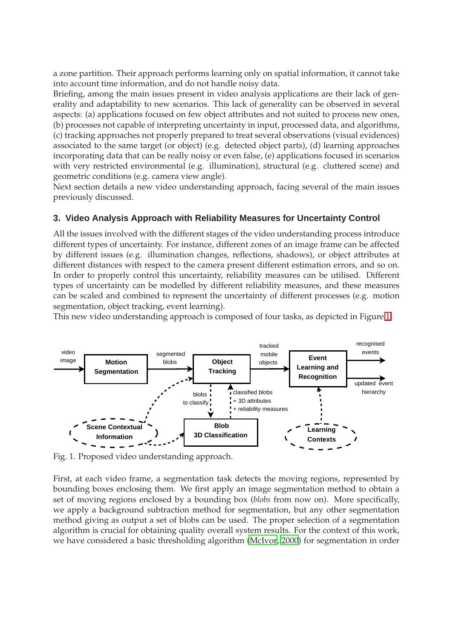a zone partition. Their approach performs learning only on spatial information, it cannot take into account time information, and do not handle noisy data.

Briefing, among the main issues present in video analysis applications are their lack of generality and adaptability to new scenarios. This lack of generality can be observed in several aspects: (a) applications focused on few object attributes and not suited to process new ones, (b) processes not capable of interpreting uncertainty in input, processed data, and algorithms, (c) tracking approaches not properly prepared to treat several observations (visual evidences) associated to the same target (or object) (e.g. detected object parts), (d) learning approaches incorporating data that can be really noisy or even false, (e) applications focused in scenarios with very restricted environmental (e.g. illumination), structural (e.g. cluttered scene) and geometric conditions (e.g. camera view angle).

Next section details a new video understanding approach, facing several of the main issues previously discussed.

# **3. Video Analysis Approach with Reliability Measures for Uncertainty Control**

All the issues involved with the different stages of the video understanding process introduce different types of uncertainty. For instance, different zones of an image frame can be affected by different issues (e.g. illumination changes, reflections, shadows), or object attributes at different distances with respect to the camera present different estimation errors, and so on. In order to properly control this uncertainty, reliability measures can be utilised. Different types of uncertainty can be modelled by different reliability measures, and these measures can be scaled and combined to represent the uncertainty of different processes (e.g. motion segmentation, object tracking, event learning).

<span id="page-4-0"></span>This new video understanding approach is composed of four tasks, as depicted in Figure [1.](#page-4-0)



Fig. 1. Proposed video understanding approach.

First, at each video frame, a segmentation task detects the moving regions, represented by bounding boxes enclosing them. We first apply an image segmentation method to obtain a set of moving regions enclosed by a bounding box (*blobs* from now on). More specifically, we apply a background subtraction method for segmentation, but any other segmentation method giving as output a set of blobs can be used. The proper selection of a segmentation algorithm is crucial for obtaining quality overall system results. For the context of this work, we have considered a basic thresholding algorithm [\(McIvor, 2000\)](#page-25-2) for segmentation in order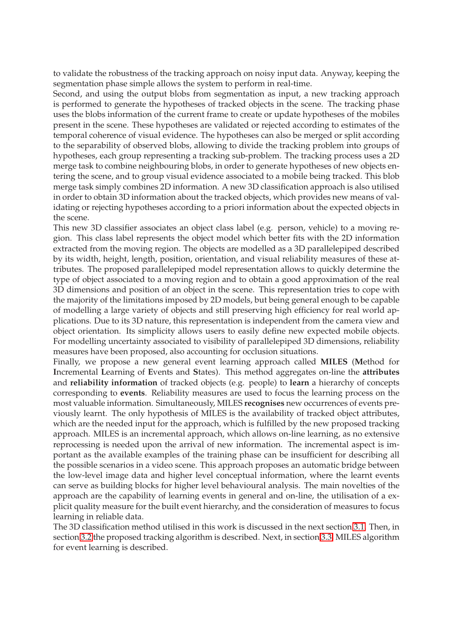to validate the robustness of the tracking approach on noisy input data. Anyway, keeping the segmentation phase simple allows the system to perform in real-time.

Second, and using the output blobs from segmentation as input, a new tracking approach is performed to generate the hypotheses of tracked objects in the scene. The tracking phase uses the blobs information of the current frame to create or update hypotheses of the mobiles present in the scene. These hypotheses are validated or rejected according to estimates of the temporal coherence of visual evidence. The hypotheses can also be merged or split according to the separability of observed blobs, allowing to divide the tracking problem into groups of hypotheses, each group representing a tracking sub-problem. The tracking process uses a 2D merge task to combine neighbouring blobs, in order to generate hypotheses of new objects entering the scene, and to group visual evidence associated to a mobile being tracked. This blob merge task simply combines 2D information. A new 3D classification approach is also utilised in order to obtain 3D information about the tracked objects, which provides new means of validating or rejecting hypotheses according to a priori information about the expected objects in the scene.

This new 3D classifier associates an object class label (e.g. person, vehicle) to a moving region. This class label represents the object model which better fits with the 2D information extracted from the moving region. The objects are modelled as a 3D parallelepiped described by its width, height, length, position, orientation, and visual reliability measures of these attributes. The proposed parallelepiped model representation allows to quickly determine the type of object associated to a moving region and to obtain a good approximation of the real 3D dimensions and position of an object in the scene. This representation tries to cope with the majority of the limitations imposed by 2D models, but being general enough to be capable of modelling a large variety of objects and still preserving high efficiency for real world applications. Due to its 3D nature, this representation is independent from the camera view and object orientation. Its simplicity allows users to easily define new expected mobile objects. For modelling uncertainty associated to visibility of parallelepiped 3D dimensions, reliability measures have been proposed, also accounting for occlusion situations.

Finally, we propose a new general event learning approach called **MILES** (**M**ethod for **I**ncremental **L**earning of **E**vents and **S**tates). This method aggregates on-line the **attributes** and **reliability information** of tracked objects (e.g. people) to **learn** a hierarchy of concepts corresponding to **events**. Reliability measures are used to focus the learning process on the most valuable information. Simultaneously, MILES **recognises** new occurrences of events previously learnt. The only hypothesis of MILES is the availability of tracked object attributes, which are the needed input for the approach, which is fulfilled by the new proposed tracking approach. MILES is an incremental approach, which allows on-line learning, as no extensive reprocessing is needed upon the arrival of new information. The incremental aspect is important as the available examples of the training phase can be insufficient for describing all the possible scenarios in a video scene. This approach proposes an automatic bridge between the low-level image data and higher level conceptual information, where the learnt events can serve as building blocks for higher level behavioural analysis. The main novelties of the approach are the capability of learning events in general and on-line, the utilisation of a explicit quality measure for the built event hierarchy, and the consideration of measures to focus learning in reliable data.

The 3D classification method utilised in this work is discussed in the next section [3.1.](#page-6-0) Then, in section [3.2](#page-10-0) the proposed tracking algorithm is described. Next, in section [3.3,](#page-15-0) MILES algorithm for event learning is described.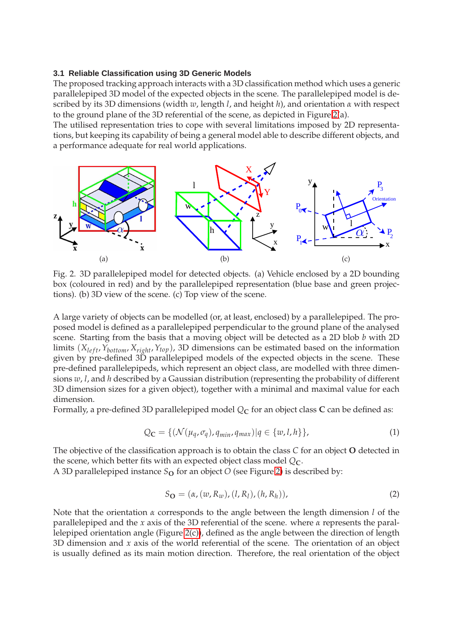#### <span id="page-6-0"></span>**3.1 Reliable Classification using 3D Generic Models**

The proposed tracking approach interacts with a 3D classification method which uses a generic parallelepiped 3D model of the expected objects in the scene. The parallelepiped model is described by its 3D dimensions (width *w*, length *l*, and height *h*), and orientation *α* with respect to the ground plane of the 3D referential of the scene, as depicted in Figure [2\(](#page-6-1)a).

The utilised representation tries to cope with several limitations imposed by 2D representations, but keeping its capability of being a general model able to describe different objects, and a performance adequate for real world applications.

<span id="page-6-1"></span>

<span id="page-6-3"></span>Fig. 2. 3D parallelepiped model for detected objects. (a) Vehicle enclosed by a 2D bounding box (coloured in red) and by the parallelepiped representation (blue base and green projections). (b) 3D view of the scene. (c) Top view of the scene.

A large variety of objects can be modelled (or, at least, enclosed) by a parallelepiped. The proposed model is defined as a parallelepiped perpendicular to the ground plane of the analysed scene. Starting from the basis that a moving object will be detected as a 2D blob *b* with 2D limits ( $X_{left}$ , $Y_{bottom}$ , $X_{right}$ , $Y_{top}$ ), 3D dimensions can be estimated based on the information given by pre-defined 3D parallelepiped models of the expected objects in the scene. These pre-defined parallelepipeds, which represent an object class, are modelled with three dimensions *w*, *l*, and *h* described by a Gaussian distribution (representing the probability of different 3D dimension sizes for a given object), together with a minimal and maximal value for each dimension.

Formally, a pre-defined 3D parallelepiped model  $Q_{\mathbb{C}}$  for an object class **C** can be defined as:

<span id="page-6-2"></span>
$$
Q_{\mathbf{C}} = \{ (\mathcal{N}(\mu_q, \sigma_q), q_{min}, q_{max}) | q \in \{w, l, h\} \},\tag{1}
$$

The objective of the classification approach is to obtain the class *C* for an object **O** detected in the scene, which better fits with an expected object class model *Q***C**.

A 3D parallelepiped instance  $S_{\mathbf{O}}$  for an object *O* (see Figure [2\)](#page-6-1) is described by:

$$
S_{\mathbf{O}} = (\alpha, (w, R_w), (l, R_l), (h, R_h)),
$$
\n<sup>(2)</sup>

Note that the orientation *α* corresponds to the angle between the length dimension *l* of the parallelepiped and the *x* axis of the 3D referential of the scene. where *α* represents the parallelepiped orientation angle (Figure [2\(c\)\)](#page-6-2), defined as the angle between the direction of length 3D dimension and *x* axis of the world referential of the scene. The orientation of an object is usually defined as its main motion direction. Therefore, the real orientation of the object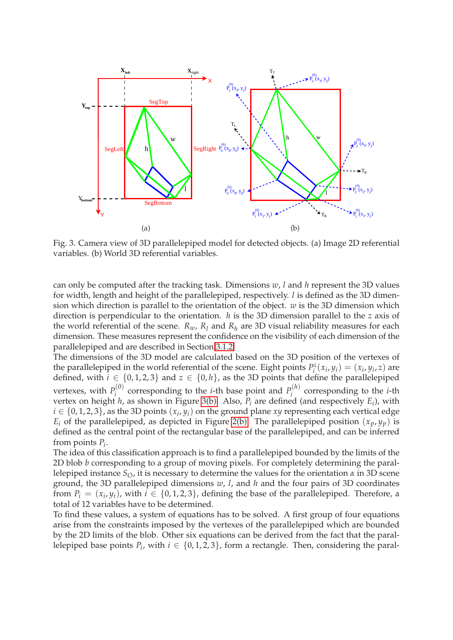

<span id="page-7-0"></span>Fig. 3. Camera view of 3D parallelepiped model for detected objects. (a) Image 2D referential variables. (b) World 3D referential variables.

can only be computed after the tracking task. Dimensions *w*, *l* and *h* represent the 3D values for width, length and height of the parallelepiped, respectively. *l* is defined as the 3D dimension which direction is parallel to the orientation of the object. *w* is the 3D dimension which direction is perpendicular to the orientation. *h* is the 3D dimension parallel to the *z* axis of the world referential of the scene.  $R_w$ ,  $R_l$  and  $R_h$  are 3D visual reliability measures for each dimension. These measures represent the confidence on the visibility of each dimension of the parallelepiped and are described in Section [3.1.2.](#page-9-0)

The dimensions of the 3D model are calculated based on the 3D position of the vertexes of the parallelepiped in the world referential of the scene. Eight points  $P_i^z(x_i, y_i) = (x_i, y_i, z)$  are defined, with  $i \in \{0, 1, 2, 3\}$  and  $z \in \{0, h\}$ , as the 3D points that define the parallelepiped vertexes, with  $P_i^{(0)}$  corresponding to the *i*-th base point and  $P_i^{(h)}$  corresponding to the *i*-th vertex on height *h*, as shown in Figure [3\(b\).](#page-7-0) Also, *P<sub>i</sub>* are defined (and respectively *E<sub>i</sub>*), with  $i \in \{0, 1, 2, 3\}$ , as the 3D points  $(x_i, y_i)$  on the ground plane *xy* representing each vertical edge  $E_i$  of the parallelepiped, as depicted in Figure [2\(b\).](#page-6-3) The parallelepiped position  $(x_p, y_p)$  is defined as the central point of the rectangular base of the parallelepiped, and can be inferred from points *P<sup>i</sup>* .

The idea of this classification approach is to find a parallelepiped bounded by the limits of the 2D blob *b* corresponding to a group of moving pixels. For completely determining the parallelepiped instance  $S_O$ , it is necessary to determine the values for the orientation  $\alpha$  in 3D scene ground, the 3D parallelepiped dimensions *w*, *l*, and *h* and the four pairs of 3D coordinates from  $P_i = (x_i, y_i)$ , with  $i \in \{0, 1, 2, 3\}$ , defining the base of the parallelepiped. Therefore, a total of 12 variables have to be determined.

To find these values, a system of equations has to be solved. A first group of four equations arise from the constraints imposed by the vertexes of the parallelepiped which are bounded by the 2D limits of the blob. Other six equations can be derived from the fact that the parallelepiped base points  $P_i$ , with  $i \in \{0, 1, 2, 3\}$ , form a rectangle. Then, considering the paral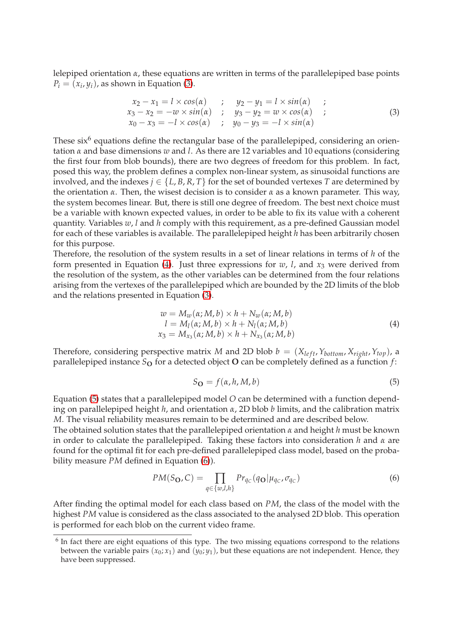lelepiped orientation  $\alpha$ , these equations are written in terms of the parallelepiped base points  $P_i = (x_i, y_i)$ , as shown in Equation [\(3\)](#page-8-0).

<span id="page-8-0"></span>
$$
x_2 - x_1 = l \times \cos(\alpha) \qquad ; \qquad y_2 - y_1 = l \times \sin(\alpha) \qquad ;
$$
  
\n
$$
x_3 - x_2 = -w \times \sin(\alpha) \qquad ; \qquad y_3 - y_2 = w \times \cos(\alpha) \qquad ;
$$
  
\n
$$
x_0 - x_3 = -l \times \cos(\alpha) \qquad ; \qquad y_0 - y_3 = -l \times \sin(\alpha)
$$
\n(3)

These six<sup>6</sup> equations define the rectangular base of the parallelepiped, considering an orientation *α* and base dimensions *w* and *l*. As there are 12 variables and 10 equations (considering the first four from blob bounds), there are two degrees of freedom for this problem. In fact, posed this way, the problem defines a complex non-linear system, as sinusoidal functions are involved, and the indexes  $j \in \{L, B, R, T\}$  for the set of bounded vertexes *T* are determined by the orientation *α*. Then, the wisest decision is to consider *α* as a known parameter. This way, the system becomes linear. But, there is still one degree of freedom. The best next choice must be a variable with known expected values, in order to be able to fix its value with a coherent quantity. Variables *w*, *l* and *h* comply with this requirement, as a pre-defined Gaussian model for each of these variables is available. The parallelepiped height *h* has been arbitrarily chosen for this purpose.

Therefore, the resolution of the system results in a set of linear relations in terms of *h* of the form presented in Equation [\(4\)](#page-8-1). Just three expressions for  $w$ ,  $l$ , and  $x_3$  were derived from the resolution of the system, as the other variables can be determined from the four relations arising from the vertexes of the parallelepiped which are bounded by the 2D limits of the blob and the relations presented in Equation [\(3\)](#page-8-0).

<span id="page-8-1"></span>
$$
w = M_w(\alpha; M, b) \times h + N_w(\alpha; M, b)
$$
  
\n
$$
l = M_l(\alpha; M, b) \times h + N_l(\alpha; M, b)
$$
  
\n
$$
x_3 = M_{x_3}(\alpha; M, b) \times h + N_{x_3}(\alpha; M, b)
$$
\n(4)

Therefore, considering perspective matrix *M* and 2D blob  $b = (X_{left}, Y_{bottom}, X_{right}, Y_{top})$ , a parallelepiped instance  $S_{\Omega}$  for a detected object **O** can be completely defined as a function f:

<span id="page-8-2"></span>
$$
S_{\mathbf{O}} = f(\alpha, h, M, b) \tag{5}
$$

Equation [\(5\)](#page-8-2) states that a parallelepiped model *O* can be determined with a function depending on parallelepiped height *h*, and orientation *α*, 2D blob *b* limits, and the calibration matrix *M*. The visual reliability measures remain to be determined and are described below.

The obtained solution states that the parallelepiped orientation *α* and height *h* must be known in order to calculate the parallelepiped. Taking these factors into consideration *h* and *α* are found for the optimal fit for each pre-defined parallelepiped class model, based on the probability measure *PM* defined in Equation [\(6\)](#page-8-3)).

<span id="page-8-3"></span>
$$
PM(S_{\mathbf{O}}, C) = \prod_{q \in \{w, l, h\}} Pr_{q_C}(q_{\mathbf{O}} | \mu_{q_C}, \sigma_{q_C})
$$
\n(6)

After finding the optimal model for each class based on *PM*, the class of the model with the highest *PM* value is considered as the class associated to the analysed 2D blob. This operation is performed for each blob on the current video frame.

<sup>&</sup>lt;sup>6</sup> In fact there are eight equations of this type. The two missing equations correspond to the relations between the variable pairs  $(x_0; x_1)$  and  $(y_0; y_1)$ , but these equations are not independent. Hence, they have been suppressed.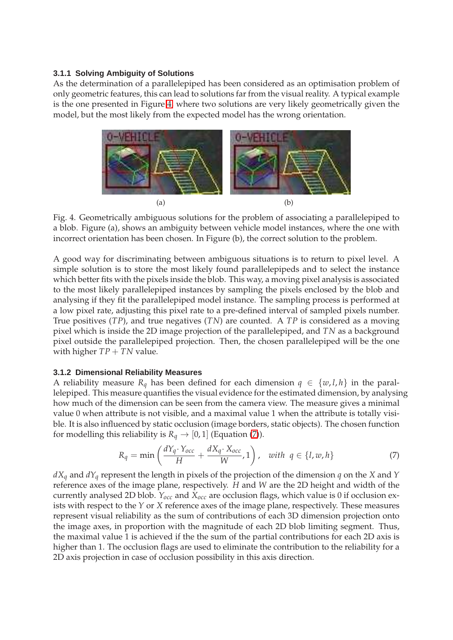#### **3.1.1 Solving Ambiguity of Solutions**

<span id="page-9-1"></span>As the determination of a parallelepiped has been considered as an optimisation problem of only geometric features, this can lead to solutions far from the visual reality. A typical example is the one presented in Figure [4,](#page-9-1) where two solutions are very likely geometrically given the model, but the most likely from the expected model has the wrong orientation.



Fig. 4. Geometrically ambiguous solutions for the problem of associating a parallelepiped to a blob. Figure (a), shows an ambiguity between vehicle model instances, where the one with incorrect orientation has been chosen. In Figure (b), the correct solution to the problem.

A good way for discriminating between ambiguous situations is to return to pixel level. A simple solution is to store the most likely found parallelepipeds and to select the instance which better fits with the pixels inside the blob. This way, a moving pixel analysis is associated to the most likely parallelepiped instances by sampling the pixels enclosed by the blob and analysing if they fit the parallelepiped model instance. The sampling process is performed at a low pixel rate, adjusting this pixel rate to a pre-defined interval of sampled pixels number. True positives (*TP*), and true negatives (*TN*) are counted. A *TP* is considered as a moving pixel which is inside the 2D image projection of the parallelepiped, and *TN* as a background pixel outside the parallelepiped projection. Then, the chosen parallelepiped will be the one with higher  $TP + TN$  value.

## <span id="page-9-0"></span>**3.1.2 Dimensional Reliability Measures**

A reliability measure  $R_q$  has been defined for each dimension  $q \in \{w, l, h\}$  in the parallelepiped. This measure quantifies the visual evidence for the estimated dimension, by analysing how much of the dimension can be seen from the camera view. The measure gives a minimal value 0 when attribute is not visible, and a maximal value 1 when the attribute is totally visible. It is also influenced by static occlusion (image borders, static objects). The chosen function for modelling this reliability is  $R_q \rightarrow [0, 1]$  (Equation [\(7\)](#page-9-2)).

<span id="page-9-2"></span>
$$
R_q = \min\left(\frac{dY_q \cdot Y_{occ}}{H} + \frac{dX_q \cdot X_{occ}}{W}, 1\right), \quad with \ q \in \{l, w, h\}
$$
 (7)

*dX<sup>q</sup>* and *dY<sup>q</sup>* represent the length in pixels of the projection of the dimension *q* on the *X* and *Y* reference axes of the image plane, respectively. *H* and *W* are the 2D height and width of the currently analysed 2D blob. *Yocc* and *Xocc* are occlusion flags, which value is 0 if occlusion exists with respect to the *Y* or *X* reference axes of the image plane, respectively. These measures represent visual reliability as the sum of contributions of each 3D dimension projection onto the image axes, in proportion with the magnitude of each 2D blob limiting segment. Thus, the maximal value 1 is achieved if the the sum of the partial contributions for each 2D axis is higher than 1. The occlusion flags are used to eliminate the contribution to the reliability for a 2D axis projection in case of occlusion possibility in this axis direction.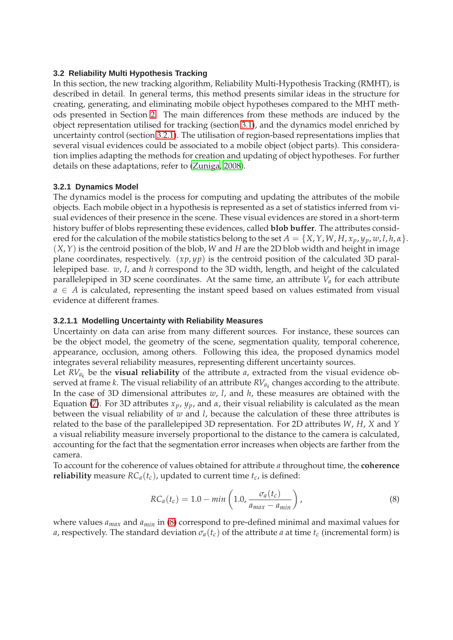#### <span id="page-10-0"></span>**3.2 Reliability Multi Hypothesis Tracking**

In this section, the new tracking algorithm, Reliability Multi-Hypothesis Tracking (RMHT), is described in detail. In general terms, this method presents similar ideas in the structure for creating, generating, and eliminating mobile object hypotheses compared to the MHT methods presented in Section [2.](#page-2-0) The main differences from these methods are induced by the object representation utilised for tracking (section [3.1\)](#page-6-0), and the dynamics model enriched by uncertainty control (section [3.2.1\)](#page-10-1). The utilisation of region-based representations implies that several visual evidences could be associated to a mobile object (object parts). This consideration implies adapting the methods for creation and updating of object hypotheses. For further details on these adaptations, refer to [\(Zuniga, 2008](#page-26-13)).

## <span id="page-10-1"></span>**3.2.1 Dynamics Model**

The dynamics model is the process for computing and updating the attributes of the mobile objects. Each mobile object in a hypothesis is represented as a set of statistics inferred from visual evidences of their presence in the scene. These visual evidences are stored in a short-term history buffer of blobs representing these evidences, called **blob buffer**. The attributes considered for the calculation of the mobile statistics belong to the set  $A = \{X, Y, W, H, x_p, y_p, w, l, h, \alpha\}$ .  $(X, Y)$  is the centroid position of the blob, *W* and *H* are the 2D blob width and height in image plane coordinates, respectively.  $(xp, \gamma p)$  is the centroid position of the calculated 3D parallelepiped base. *w*, *l*, and *h* correspond to the 3D width, length, and height of the calculated parallelepiped in 3D scene coordinates. At the same time, an attribute  $V_a$  for each attribute  $a \in A$  is calculated, representing the instant speed based on values estimated from visual evidence at different frames.

## <span id="page-10-3"></span>**3.2.1.1 Modelling Uncertainty with Reliability Measures**

Uncertainty on data can arise from many different sources. For instance, these sources can be the object model, the geometry of the scene, segmentation quality, temporal coherence, appearance, occlusion, among others. Following this idea, the proposed dynamics model integrates several reliability measures, representing different uncertainty sources.

Let *RVa<sup>k</sup>* be the **visual reliability** of the attribute *a*, extracted from the visual evidence observed at frame *k*. The visual reliability of an attribute *RVa<sup>k</sup>* changes according to the attribute. In the case of 3D dimensional attributes *w*, *l*, and *h*, these measures are obtained with the Equation [\(7\)](#page-9-2). For 3D attributes  $x_p$ ,  $y_p$ , and *α*, their visual reliability is calculated as the mean between the visual reliability of *w* and *l*, because the calculation of these three attributes is related to the base of the parallelepiped 3D representation. For 2D attributes *W*, *H*, *X* and *Y* a visual reliability measure inversely proportional to the distance to the camera is calculated, accounting for the fact that the segmentation error increases when objects are farther from the camera.

To account for the coherence of values obtained for attribute *a* throughout time, the **coherence reliability** measure  $RC_a(t_c)$ , updated to current time  $t_c$ , is defined:

<span id="page-10-2"></span>
$$
RC_a(t_c) = 1.0 - min\left(1.0, \frac{\sigma_a(t_c)}{a_{max} - a_{min}}\right),\tag{8}
$$

where values *amax* and *amin* in [\(8\)](#page-10-2) correspond to pre-defined minimal and maximal values for *a*, respectively. The standard deviation  $\sigma_a(t_c)$  of the attribute *a* at time  $t_c$  (incremental form) is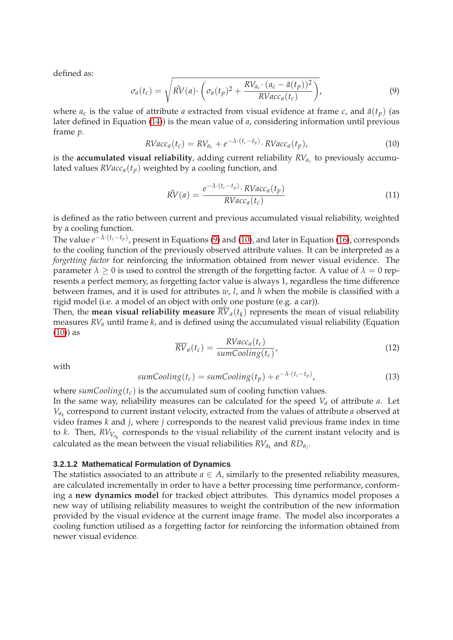defined as:

<span id="page-11-0"></span>
$$
\sigma_a(t_c) = \sqrt{\hat{K}V(a) \cdot \left(\sigma_a(t_p)^2 + \frac{RV_{a_c} \cdot (a_c - \bar{a}(t_p))^2}{RV_{acc_a}(t_c)}\right)},
$$
\n(9)

where  $a_c$  is the value of attribute *a* extracted from visual evidence at frame *c*, and  $\bar{a}(t_p)$  (as later defined in Equation [\(14\)](#page-12-0)) is the mean value of *a*, considering information until previous frame *p*.

<span id="page-11-1"></span>
$$
RVacc_a(t_c) = RV_{a_c} + e^{-\lambda \cdot (t_c - t_p)} \cdot RVacc_a(t_p),
$$
\n(10)

is the **accumulated visual reliability**, adding current reliability *RVa<sup>c</sup>* to previously accumulated values *RVacca*(*tp*) weighted by a cooling function, and

$$
\hat{RV}(a) = \frac{e^{-\lambda \cdot (t_c - t_p)} \cdot RVacc_a(t_p)}{RVacc_a(t_c)}
$$
\n(11)

is defined as the ratio between current and previous accumulated visual reliability, weighted by a cooling function.

The value *e* −*λ*·(*tc*−*t<sup>p</sup>* ) , present in Equations [\(9\)](#page-11-0) and [\(10\)](#page-11-1), and later in Equation [\(16\)](#page-12-1), corresponds to the cooling function of the previously observed attribute values. It can be interpreted as a *forgetting factor* for reinforcing the information obtained from newer visual evidence. The parameter  $\lambda \geq 0$  is used to control the strength of the forgetting factor. A value of  $\lambda = 0$  represents a perfect memory, as forgetting factor value is always 1, regardless the time difference between frames, and it is used for attributes *w*, *l*, and *h* when the mobile is classified with a rigid model (i.e. a model of an object with only one posture (e.g. a car)).

Then, the **mean visual reliability measure** *RVa*(*t<sup>k</sup>* ) represents the mean of visual reliability measures  $RV_a$  until frame  $k$ , and is defined using the accumulated visual reliability (Equation  $(10)$ ) as

<span id="page-11-2"></span>
$$
\overline{RV}_a(t_c) = \frac{RVacc_a(t_c)}{sumCooling(t_c)},
$$
\n(12)

with

$$
sumCooling(t_c) = sumCooling(t_p) + e^{-\lambda \cdot (t_c - t_p)},
$$
\n(13)

where  $sumCooling(t_c)$  is the accumulated sum of cooling function values. In the same way, reliability measures can be calculated for the speed *V<sup>a</sup>* of attribute *a*. Let *Va<sup>k</sup>* correspond to current instant velocity, extracted from the values of attribute *a* observed at video frames *k* and *j*, where *j* corresponds to the nearest valid previous frame index in time to *k*. Then,  $RV_{V_{a_k}}$  corresponds to the visual reliability of the current instant velocity and is calculated as the mean between the visual reliabilities  $RV_{a_k}$  and  $RD_{a_j}$ .

#### **3.2.1.2 Mathematical Formulation of Dynamics**

The statistics associated to an attribute  $a \in A$ , similarly to the presented reliability measures, are calculated incrementally in order to have a better processing time performance, conforming a **new dynamics model** for tracked object attributes. This dynamics model proposes a new way of utilising reliability measures to weight the contribution of the new information provided by the visual evidence at the current image frame. The model also incorporates a cooling function utilised as a forgetting factor for reinforcing the information obtained from newer visual evidence.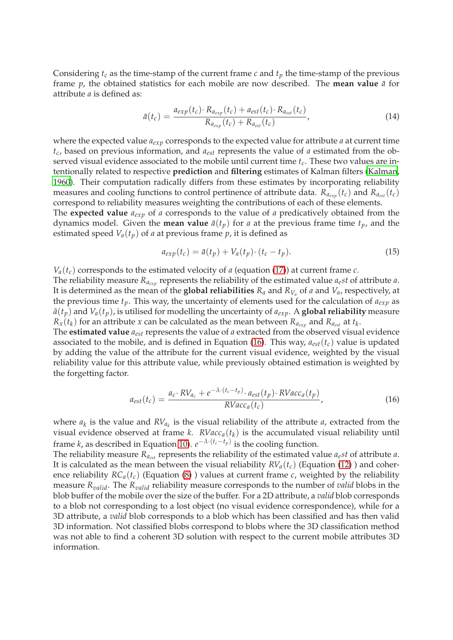Considering  $t_c$  as the time-stamp of the current frame *c* and  $t_p$  the time-stamp of the previous frame *p*, the obtained statistics for each mobile are now described. The **mean value**  $\bar{a}$  for attribute *a* is defined as:

<span id="page-12-0"></span>
$$
\bar{a}(t_c) = \frac{a_{exp}(t_c) \cdot R_{a_{exp}}(t_c) + a_{est}(t_c) \cdot R_{a_{est}}(t_c)}{R_{a_{exp}}(t_c) + R_{a_{est}}(t_c)},
$$
\n(14)

where the expected value  $a_{exp}$  corresponds to the expected value for attribute  $a$  at current time  $t_c$ , based on previous information, and  $a_{est}$  represents the value of *a* estimated from the observed visual evidence associated to the mobile until current time *tc*. These two values are intentionally related to respective **prediction** and **filtering** estimates of Kalman filters [\(Kalman,](#page-25-6) [1960\)](#page-25-6). Their computation radically differs from these estimates by incorporating reliability measures and cooling functions to control pertinence of attribute data.  $R_{a_{ext}}(t_c)$  and  $R_{a_{ext}}(t_c)$ correspond to reliability measures weighting the contributions of each of these elements.

The **expected value**  $a_{exp}$  of *a* corresponds to the value of *a* predicatively obtained from the dynamics model. Given the **mean value**  $\bar{a}(t_p)$  for *a* at the previous frame time  $t_p$ , and the estimated speed  $V_a(t_p)$  of *a* at previous frame *p*, it is defined as

$$
a_{exp}(t_c) = \bar{a}(t_p) + V_a(t_p) \cdot (t_c - t_p). \tag{15}
$$

 $V_a(t_c)$  corresponds to the estimated velocity of *a* (equation [\(17\)](#page-13-0)) at current frame *c*.

The reliability measure  $R_{a_{\text{exp}}}$  represents the reliability of the estimated value  $a_{e}$ *st* of attribute *a*. It is determined as the mean of the  $g$ lobal reliabilities  $R_a$  and  $R_{V_a}$  of  $a$  and  $V_a$ , respectively, at the previous time  $t_p$ . This way, the uncertainty of elements used for the calculation of  $a_{exp}$  as  $\bar{a}(t_p)$  and  $V_a(t_p)$ , is utilised for modelling the uncertainty of  $a_{exp}$ . A global reliability measure  $R_{x}(t_{k})$  for an attribute  $x$  can be calculated as the mean between  $R_{a_{exp}}$  and  $R_{a_{est}}$  at  $t_{k}$ .

The **estimated value** *aest* represents the value of *a* extracted from the observed visual evidence associated to the mobile, and is defined in Equation [\(16\)](#page-12-1). This way,  $a_{est}(t_c)$  value is updated by adding the value of the attribute for the current visual evidence, weighted by the visual reliability value for this attribute value, while previously obtained estimation is weighted by the forgetting factor.

<span id="page-12-1"></span>
$$
a_{est}(t_c) = \frac{a_c \cdot RV_{a_c} + e^{-\lambda \cdot (t_c - t_p)} \cdot a_{est}(t_p) \cdot RV_{acc_a}(t_p)}{RV_{acc_a}(t_c)},
$$
\n(16)

where  $a_k$  is the value and  $RV_{a_k}$  is the visual reliability of the attribute  $a$ , extracted from the visual evidence observed at frame *k*.  $RVacc_a(t_k)$  is the accumulated visual reliability until frame *k*, as described in Equation [10\)](#page-11-1).  $e^{-\lambda \cdot (t_c - t_p)}$  is the cooling function.

The reliability measure  $R_{a_{est}}$  represents the reliability of the estimated value  $a_{e}$ *st* of attribute *a*. It is calculated as the mean between the visual reliability  $RV_a(t_c)$  (Equation [\(12\)](#page-11-2)) and coherence reliability  $RC_a(t_c)$  (Equation [\(8\)](#page-10-2)) values at current frame *c*, weighted by the reliability measure *Rvalid*. The *Rvalid* reliability measure corresponds to the number of *valid* blobs in the blob buffer of the mobile over the size of the buffer. For a 2D attribute, a *valid* blob corresponds to a blob not corresponding to a lost object (no visual evidence correspondence), while for a 3D attribute, a *valid* blob corresponds to a blob which has been classified and has then valid 3D information. Not classified blobs correspond to blobs where the 3D classification method was not able to find a coherent 3D solution with respect to the current mobile attributes 3D information.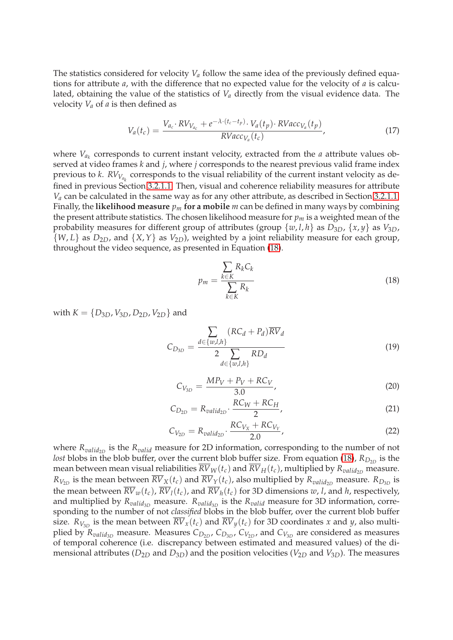The statistics considered for velocity  $V_a$  follow the same idea of the previously defined equations for attribute *a*, with the difference that no expected value for the velocity of *a* is calculated, obtaining the value of the statistics of  $V_a$  directly from the visual evidence data. The velocity  $V_a$  of *a* is then defined as

<span id="page-13-0"></span>
$$
V_a(t_c) = \frac{V_{a_c} \cdot RV_{V_{a_c}} + e^{-\lambda \cdot (t_c - t_p)} \cdot V_a(t_p) \cdot RVacc_{V_a}(t_p)}{RVacc_{V_a}(t_c)},
$$
\n(17)

where  $V_{a_k}$  corresponds to current instant velocity, extracted from the  $a$  attribute values observed at video frames *k* and *j*, where *j* corresponds to the nearest previous valid frame index previous to *k*.  $RV_{V_{a_k}}$  corresponds to the visual reliability of the current instant velocity as de-<sup>1</sup><br>
fined in previous Section [3.2.1.1.](#page-10-3) Then, visual and coherence reliability measures for attribute *V<sup>a</sup>* can be calculated in the same way as for any other attribute, as described in Section [3.2.1.1.](#page-10-3) Finally, the **likelihood measure**  $p_m$  for a mobile  $m$  can be defined in many ways by combining the present attribute statistics. The chosen likelihood measure for  $p_m$  is a weighted mean of the probability measures for different group of attributes (group  $\{w, l, h\}$  as  $D_{3D}$ ,  $\{x, y\}$  as  $V_{3D}$ ,  $\{W, L\}$  as  $D_{2D}$ , and  $\{X, Y\}$  as  $V_{2D}$ ), weighted by a joint reliability measure for each group, throughout the video sequence, as presented in Equation [\(18\)](#page-13-1).

<span id="page-13-1"></span>
$$
p_m = \frac{\sum_{k \in K} R_k C_k}{\sum_{k \in K} R_k}
$$
\n(18)

with  $K = \{D_{3D}, V_{3D}, D_{2D}, V_{2D}\}\$  and

<span id="page-13-2"></span>
$$
C_{D_{3D}} = \frac{\sum_{d \in \{w, l, h\}} (RC_d + P_d) \overline{RV}_d}{\sum_{d \in \{w, l, h\}} RD_d}
$$
(19)

<span id="page-13-3"></span>
$$
C_{V_{3D}} = \frac{MP_V + P_V + RC_V}{3.0},\tag{20}
$$

$$
C_{D_{2D}} = R_{valid_{2D}} \cdot \frac{RC_W + RC_H}{2},\tag{21}
$$

$$
C_{V_{2D}} = R_{valid_{2D}} \cdot \frac{RC_{V_X} + RC_{V_Y}}{2.0},
$$
 (22)

where  $R_{valid_{2D}}$  is the  $R_{valid}$  measure for 2D information, corresponding to the number of not *lost* blobs in the blob buffer, over the current blob buffer size. From equation [\(18\)](#page-13-1),  $R_{D_{2D}}$  is the mean between mean visual reliabilities  $\overline{RV}_W(t_c)$  and  $\overline{RV}_H(t_c)$ , multiplied by  $R_{valid_{2D}}$  measure.  $R_{V_{2D}}$  is the mean between  $RV_X(t_c)$  and  $RV_Y(t_c)$ , also multiplied by  $R_{valid_{2D}}$  measure.  $R_{D_{3D}}$  is the mean between  $RV_w(t_c)$ ,  $RV_l(t_c)$ , and  $RV_h(t_c)$  for 3D dimensions  $w$ , *l*, and *h*, respectively, and multiplied by  $R_{valid_{3D}}$  measure.  $R_{valid_{3D}}$  is the  $R_{valid}$  measure for 3D information, corresponding to the number of not *classified* blobs in the blob buffer, over the current blob buffer size.  $R_{V_{3D}}$  is the mean between  $RV_x(t_c)$  and  $RV_y(t_c)$  for 3D coordinates *x* and *y*, also multiplied by  $R_{valid_{3D}}$  measure. Measures  $C_{D_{2D}}$ ,  $C_{D_{3D}}$ ,  $C_{V_{2D}}$ , and  $C_{V_{3D}}$  are considered as measures of temporal coherence (i.e. discrepancy between estimated and measured values) of the dimensional attributes ( $D_{2D}$  and  $D_{3D}$ ) and the position velocities ( $V_{2D}$  and  $V_{3D}$ ). The measures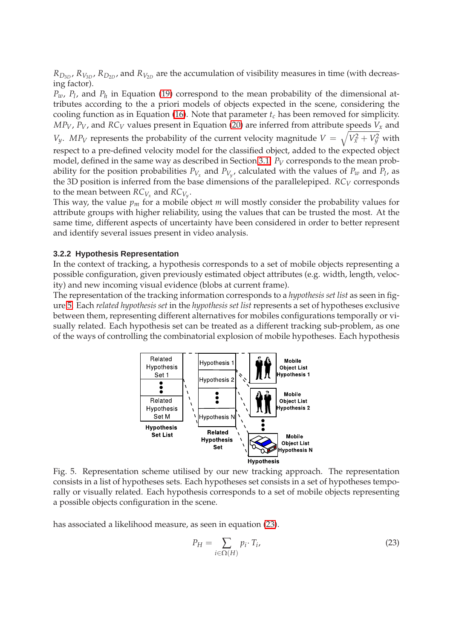$R_{D_{3D}}$ ,  $R_{V_{3D}}$ ,  $R_{D_{2D}}$ , and  $R_{V_{2D}}$  are the accumulation of visibility measures in time (with decreasing factor).

*Pw*, *P<sup>l</sup>* , and *P<sup>h</sup>* in Equation [\(19\)](#page-13-2) correspond to the mean probability of the dimensional attributes according to the a priori models of objects expected in the scene, considering the cooling function as in Equation [\(16\)](#page-12-1). Note that parameter  $t_c$  has been removed for simplicity.  $MP_V$ ,  $P_V$ , and  $RC_V$  values present in Equation [\(20\)](#page-13-3) are inferred from attribute speeds  $V_x$  and  $V_y$ .  $MP_V$  represents the probability of the current velocity magnitude  $V =$  $\sqrt{V_x^2 + V_y^2}$  with respect to a pre-defined velocity model for the classified object, added to the expected object model, defined in the same way as described in Section [3.1.](#page-6-0) *P<sup>V</sup>* corresponds to the mean probability for the position probabilities  $P_{V_x}$  and  $P_{V_y}$ , calculated with the values of  $P_w$  and  $P_l$ , as the 3D position is inferred from the base dimensions of the parallelepiped.  $RC_V$  corresponds to the mean between  $RC_{V_x}$  and  $RC_{V_y}.$ 

This way, the value  $p_m$  for a mobile object  $m$  will mostly consider the probability values for attribute groups with higher reliability, using the values that can be trusted the most. At the same time, different aspects of uncertainty have been considered in order to better represent and identify several issues present in video analysis.

#### **3.2.2 Hypothesis Representation**

In the context of tracking, a hypothesis corresponds to a set of mobile objects representing a possible configuration, given previously estimated object attributes (e.g. width, length, velocity) and new incoming visual evidence (blobs at current frame).

<span id="page-14-0"></span>The representation of the tracking information corresponds to a *hypothesis set list* as seen in figure [5.](#page-14-0) Each *related hypothesis set* in the *hypothesis set list* represents a set of hypotheses exclusive between them, representing different alternatives for mobiles configurations temporally or visually related. Each hypothesis set can be treated as a different tracking sub-problem, as one of the ways of controlling the combinatorial explosion of mobile hypotheses. Each hypothesis



Fig. 5. Representation scheme utilised by our new tracking approach. The representation consists in a list of hypotheses sets. Each hypotheses set consists in a set of hypotheses temporally or visually related. Each hypothesis corresponds to a set of mobile objects representing a possible objects configuration in the scene.

has associated a likelihood measure, as seen in equation [\(23\)](#page-14-1).

<span id="page-14-1"></span>
$$
P_H = \sum_{i \in \Omega(H)} p_i \cdot T_i,\tag{23}
$$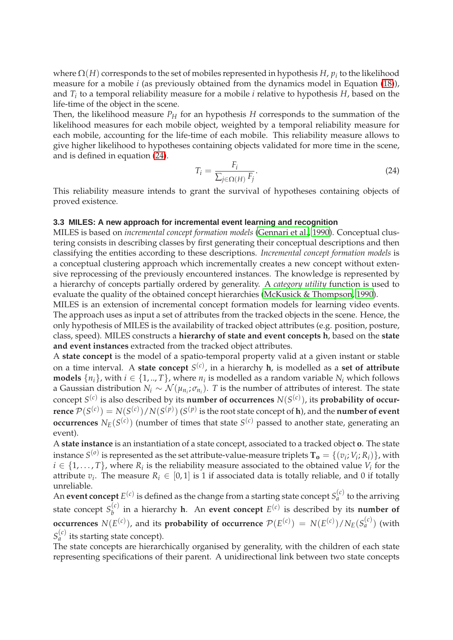where  $\Omega(H)$  corresponds to the set of mobiles represented in hypothesis  $H$ ,  $p_i$  to the likelihood measure for a mobile *i* (as previously obtained from the dynamics model in Equation [\(18\)](#page-13-1)), and *T<sup>i</sup>* to a temporal reliability measure for a mobile *i* relative to hypothesis *H*, based on the life-time of the object in the scene.

Then, the likelihood measure *P<sup>H</sup>* for an hypothesis *H* corresponds to the summation of the likelihood measures for each mobile object, weighted by a temporal reliability measure for each mobile, accounting for the life-time of each mobile. This reliability measure allows to give higher likelihood to hypotheses containing objects validated for more time in the scene, and is defined in equation [\(24\)](#page-15-1).

<span id="page-15-1"></span>
$$
T_i = \frac{F_i}{\sum_{j \in \Omega(H)} F_j}.
$$
\n(24)

This reliability measure intends to grant the survival of hypotheses containing objects of proved existence.

#### <span id="page-15-0"></span>**3.3 MILES: A new approach for incremental event learning and recognition**

MILES is based on *incremental concept formation models* [\(Gennari et al.](#page-25-15), [1990\)](#page-25-15). Conceptual clustering consists in describing classes by first generating their conceptual descriptions and then classifying the entities according to these descriptions. *Incremental concept formation models* is a conceptual clustering approach which incrementally creates a new concept without extensive reprocessing of the previously encountered instances. The knowledge is represented by a hierarchy of concepts partially ordered by generality. A *category utility* function is used to evaluate the quality of the obtained concept hierarchies [\(McKusick & Thompson, 1990](#page-25-16)).

MILES is an extension of incremental concept formation models for learning video events. The approach uses as input a set of attributes from the tracked objects in the scene. Hence, the only hypothesis of MILES is the availability of tracked object attributes (e.g. position, posture, class, speed). MILES constructs a **hierarchy of state and event concepts h**, based on the **state and event instances** extracted from the tracked object attributes.

A **state concept** is the model of a spatio-temporal property valid at a given instant or stable on a time interval. A **state concept** *S* (*c*) , in a hierarchy **h**, is modelled as a **set of attribute models**  $\{n_i\}$ , with  $i \in \{1, ..., T\}$ , where  $n_i$  is modelled as a random variable  $N_i$  which follows a Gaussian distribution  $N_i \sim \mathcal{N}(\mu_{n_i}; \sigma_{n_i})$ . *T* is the number of attributes of interest. The state concept  $S^{(c)}$  is also described by its **number of occurrences**  $N(S^{(c)})$ , its **probability of occur***rence*  $\mathcal{P}(S^{(c)}) = N(S^{(c)})/N(S^{(p)})$  ( $S^{(p)}$  is the root state concept of **h**), and the **number of event occurrences**  $N_E(S^{(c)})$  (number of times that state  $S^{(c)}$  passed to another state, generating an event).

A **state instance** is an instantiation of a state concept, associated to a tracked object **o**. The state instance  $S^{(o)}$  is represented as the set attribute-value-measure triplets  $\mathbf{T_o} = \{(v_i; V_i; R_i)\}\)$ , with  $i \in \{1, \ldots, T\}$ , where  $R_i$  is the reliability measure associated to the obtained value  $V_i$  for the attribute  $v_i$ . The measure  $R_i \in [0,1]$  is 1 if associated data is totally reliable, and 0 if totally unreliable.

An  $\bf{event\ concept\ } E^{(c)}$  is defined as the change from a starting state concept  $S_a^{(c)}$  to the arriving state concept  $S_h^{(c)}$  $\mathbf{b}^{(c)}$  in a hierarchy **h**. An **event concept**  $E^{(c)}$  is described by its **number of occurrences**  $N(E^{(c)})$ , and its **probability of occurrence**  $\mathcal{P}(E^{(c)}) = N(E^{(c)})/N_E(S_a^{(c)})$  (with  $S_a^{(c)}$  its starting state concept).

The state concepts are hierarchically organised by generality, with the children of each state representing specifications of their parent. A unidirectional link between two state concepts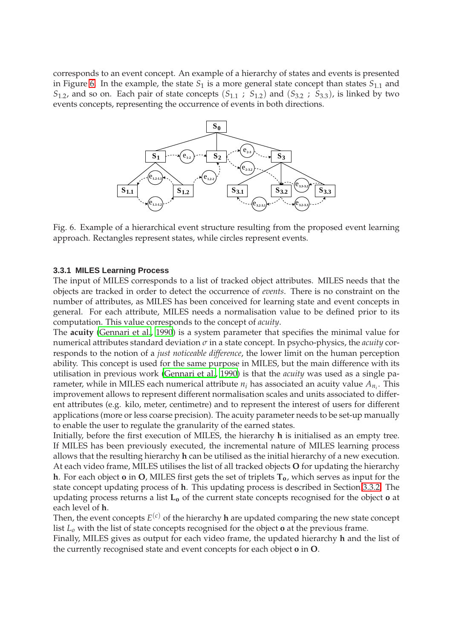<span id="page-16-0"></span>corresponds to an event concept. An example of a hierarchy of states and events is presented in Figure [6.](#page-16-0) In the example, the state  $S_1$  is a more general state concept than states  $S_{1,1}$  and  $S_{1,2}$ , and so on. Each pair of state concepts  $(S_{1,1}$ ;  $S_{1,2})$  and  $(S_{3,2}$ ;  $S_{3,3})$ , is linked by two events concepts, representing the occurrence of events in both directions.



Fig. 6. Example of a hierarchical event structure resulting from the proposed event learning approach. Rectangles represent states, while circles represent events.

#### **3.3.1 MILES Learning Process**

The input of MILES corresponds to a list of tracked object attributes. MILES needs that the objects are tracked in order to detect the occurrence of *events*. There is no constraint on the number of attributes, as MILES has been conceived for learning state and event concepts in general. For each attribute, MILES needs a normalisation value to be defined prior to its computation. This value corresponds to the concept of *acuity*.

The **acuity** [\(Gennari et al., 1990\)](#page-25-15) is a system parameter that specifies the minimal value for numerical attributes standard deviation *σ* in a state concept. In psycho-physics, the *acuity* corresponds to the notion of a *just noticeable difference*, the lower limit on the human perception ability. This concept is used for the same purpose in MILES, but the main difference with its utilisation in previous work [\(Gennari et al.](#page-25-15), [1990](#page-25-15)) is that the *acuity* was used as a single parameter, while in MILES each numerical attribute *n<sup>i</sup>* has associated an acuity value *An<sup>i</sup>* . This improvement allows to represent different normalisation scales and units associated to different attributes (e.g. kilo, meter, centimetre) and to represent the interest of users for different applications (more or less coarse precision). The acuity parameter needs to be set-up manually to enable the user to regulate the granularity of the earned states.

Initially, before the first execution of MILES, the hierarchy **h** is initialised as an empty tree. If MILES has been previously executed, the incremental nature of MILES learning process allows that the resulting hierarchy **h** can be utilised as the initial hierarchy of a new execution. At each video frame, MILES utilises the list of all tracked objects **O** for updating the hierarchy **h**. For each object **o** in **O**, MILES first gets the set of triplets **To**, which serves as input for the state concept updating process of **h**. This updating process is described in Section [3.3.2.](#page-17-0) The updating process returns a list **L<sup>o</sup>** of the current state concepts recognised for the object **o** at each level of **h**.

Then, the event concepts  $E^{(c)}$  of the hierarchy  ${\bf h}$  are updated comparing the new state concept list *L<sup>o</sup>* with the list of state concepts recognised for the object **o** at the previous frame.

Finally, MILES gives as output for each video frame, the updated hierarchy **h** and the list of the currently recognised state and event concepts for each object **o** in **O**.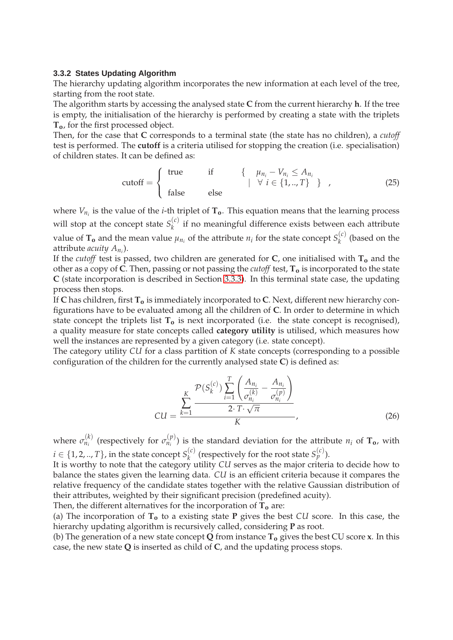#### <span id="page-17-0"></span>**3.3.2 States Updating Algorithm**

The hierarchy updating algorithm incorporates the new information at each level of the tree, starting from the root state.

The algorithm starts by accessing the analysed state **C** from the current hierarchy **h**. If the tree is empty, the initialisation of the hierarchy is performed by creating a state with the triplets **To**, for the first processed object.

Then, for the case that **C** corresponds to a terminal state (the state has no children), a *cutoff* test is performed. The **cutoff** is a criteria utilised for stopping the creation (i.e. specialisation) of children states. It can be defined as:

$$
\text{cutoff} = \left\{ \begin{array}{ccc} \text{true} & \text{if} & \{ \mu_{n_i} - V_{n_i} \le A_{n_i} \\ \text{false} & \text{else} \end{array} \right. \quad \left\{ \begin{array}{c} \mu_{n_i} - V_{n_i} \le A_{n_i} \\ \forall \ i \in \{1, \dots, T\} \end{array} \right\} \quad , \tag{25}
$$

where *Vn<sup>i</sup>* is the value of the *i*-th triplet of **To**. This equation means that the learning process will stop at the concept state  $S_k^{(c)}$  $\mathbf{k}^{(c)}$  if no meaningful difference exists between each attribute value of  $\mathbf{T_o}$  and the mean value  $\mu_{n_i}$  of the attribute  $n_i$  for the state concept  $S_k^{(c)}$  $\binom{c}{k}$  (based on the attribute *acuity An<sup>i</sup>* ).

If the *cutoff* test is passed, two children are generated for **C**, one initialised with **T<sup>o</sup>** and the other as a copy of **C**. Then, passing or not passing the *cutoff* test, **T<sup>o</sup>** is incorporated to the state **C** (state incorporation is described in Section [3.3.3\)](#page-18-0). In this terminal state case, the updating process then stops.

If **C** has children, first **T<sup>o</sup>** is immediately incorporated to **C**. Next, different new hierarchy configurations have to be evaluated among all the children of **C**. In order to determine in which state concept the triplets list  $T_0$  is next incorporated (i.e. the state concept is recognised), a quality measure for state concepts called **category utility** is utilised, which measures how well the instances are represented by a given category (i.e. state concept).

The category utility *CU* for a class partition of *K* state concepts (corresponding to a possible configuration of the children for the currently analysed state **C**) is defined as:

$$
CU = \frac{\sum_{k=1}^{K} \frac{\mathcal{P}(S_k^{(c)}) \sum_{i=1}^{T} \left( \frac{A_{n_i}}{\sigma_{n_i}^{(k)}} - \frac{A_{n_i}}{\sigma_{n_i}^{(p)}} \right)}{2 \cdot T \cdot \sqrt{\pi}}}{K},
$$
(26)

where  $\sigma_{n_i}^{(k)}$  (respectively for  $\sigma_{n_i}^{(p)}$ ) is the standard deviation for the attribute  $n_i$  of  $\mathbf{T_o}$ , with  $i \in \{1, 2, ..., T\}$ , in the state concept  $S_k^{(c)}$  $\binom{c}{k}$  (respectively for the root state *S*<sup> $\binom{c}{p}$ </sup>).

It is worthy to note that the category utility *CU* serves as the major criteria to decide how to balance the states given the learning data. *CU* is an efficient criteria because it compares the relative frequency of the candidate states together with the relative Gaussian distribution of their attributes, weighted by their significant precision (predefined acuity).

Then, the different alternatives for the incorporation of **T<sup>o</sup>** are:

(a) The incorporation of **T<sup>o</sup>** to a existing state **P** gives the best *CU* score. In this case, the hierarchy updating algorithm is recursively called, considering **P** as root.

(b) The generation of a new state concept **Q** from instance **T<sup>o</sup>** gives the best CU score **x**. In this case, the new state **Q** is inserted as child of **C**, and the updating process stops.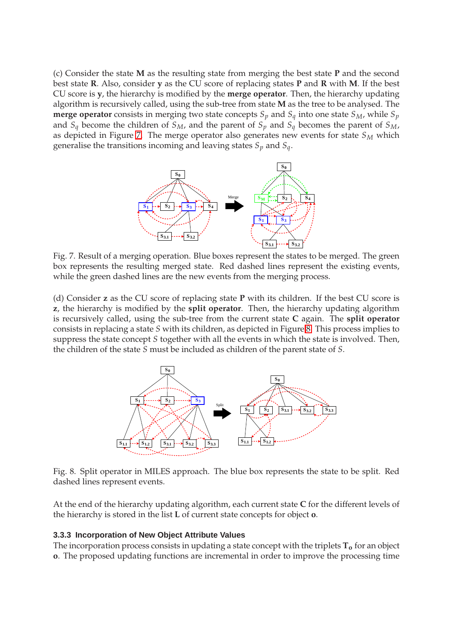(c) Consider the state **M** as the resulting state from merging the best state **P** and the second best state **R**. Also, consider **y** as the CU score of replacing states **P** and **R** with **M**. If the best CU score is **y**, the hierarchy is modified by the **merge operator**. Then, the hierarchy updating algorithm is recursively called, using the sub-tree from state **M** as the tree to be analysed. The **merge operator** consists in merging two state concepts  $S_p$  and  $S_q$  into one state  $S_M$ , while  $S_p$ and  $S_q$  become the children of  $S_M$ , and the parent of  $S_p$  and  $S_q$  becomes the parent of  $S_M$ , as depicted in Figure [7.](#page-18-1) The merge operator also generates new events for state  $S_M$  which generalise the transitions incoming and leaving states *S<sup>p</sup>* and *Sq*.

<span id="page-18-1"></span>

Fig. 7. Result of a merging operation. Blue boxes represent the states to be merged. The green box represents the resulting merged state. Red dashed lines represent the existing events, while the green dashed lines are the new events from the merging process.

(d) Consider **z** as the CU score of replacing state **P** with its children. If the best CU score is **z**, the hierarchy is modified by the **split operator**. Then, the hierarchy updating algorithm is recursively called, using the sub-tree from the current state **C** again. The **split operator** consists in replacing a state *S* with its children, as depicted in Figure [8.](#page-18-2) This process implies to suppress the state concept *S* together with all the events in which the state is involved. Then, the children of the state *S* must be included as children of the parent state of *S*.

<span id="page-18-2"></span>

Fig. 8. Split operator in MILES approach. The blue box represents the state to be split. Red dashed lines represent events.

At the end of the hierarchy updating algorithm, each current state **C** for the different levels of the hierarchy is stored in the list **L** of current state concepts for object **o**.

#### <span id="page-18-0"></span>**3.3.3 Incorporation of New Object Attribute Values**

The incorporation process consists in updating a state concept with the triplets **T<sup>o</sup>** for an object **o**. The proposed updating functions are incremental in order to improve the processing time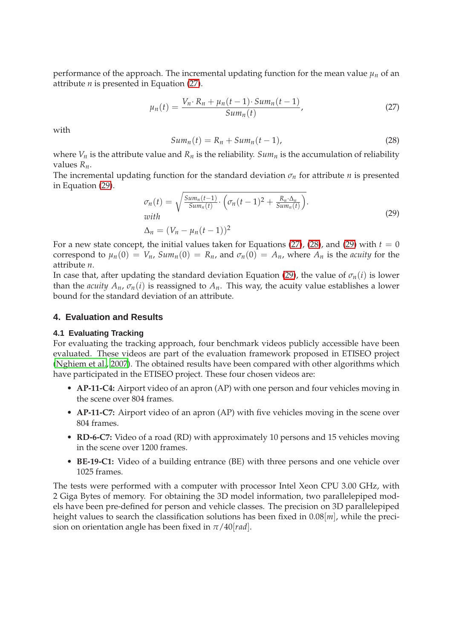performance of the approach. The incremental updating function for the mean value  $\mu_n$  of an attribute *n* is presented in Equation [\(27\)](#page-19-0).

<span id="page-19-0"></span>
$$
\mu_n(t) = \frac{V_n \cdot R_n + \mu_n(t-1) \cdot \text{Sum}_n(t-1)}{\text{Sum}_n(t)},\tag{27}
$$

with

<span id="page-19-2"></span>
$$
Sum_n(t) = R_n + Sum_n(t-1),
$$
\n(28)

where  $V_n$  is the attribute value and  $R_n$  is the reliability.  $Sum_n$  is the accumulation of reliability values *Rn*.

The incremental updating function for the standard deviation  $\sigma_n$  for attribute *n* is presented in Equation [\(29\)](#page-19-1).

<span id="page-19-1"></span>
$$
\sigma_n(t) = \sqrt{\frac{S_{um_n}(t-1)}{S_{um_n}(t)}} \cdot \left(\sigma_n(t-1)^2 + \frac{R_n \cdot \Delta_n}{S_{um_n}(t)}\right).
$$
\n
$$
\Delta_n = (V_n - \mu_n(t-1))^2
$$
\n(29)

For a new state concept, the initial values taken for Equations [\(27\)](#page-19-0), [\(28\)](#page-19-2), and [\(29\)](#page-19-1) with  $t = 0$ correspond to  $\mu_n(0) = V_n$ ,  $Sum_n(0) = R_n$ , and  $\sigma_n(0) = A_n$ , where  $A_n$  is the *acuity* for the attribute *n*.

In case that, after updating the standard deviation Equation [\(29\)](#page-19-1), the value of  $\sigma_n(i)$  is lower than the *acuity*  $A_n$ ,  $\sigma_n(i)$  is reassigned to  $A_n$ . This way, the acuity value establishes a lower bound for the standard deviation of an attribute.

#### **4. Evaluation and Results**

#### **4.1 Evaluating Tracking**

For evaluating the tracking approach, four benchmark videos publicly accessible have been evaluated. These videos are part of the evaluation framework proposed in ETISEO project [\(Nghiem et al.](#page-26-14), [2007\)](#page-26-14). The obtained results have been compared with other algorithms which have participated in the ETISEO project. These four chosen videos are:

- **AP-11-C4:** Airport video of an apron (AP) with one person and four vehicles moving in the scene over 804 frames.
- **AP-11-C7:** Airport video of an apron (AP) with five vehicles moving in the scene over 804 frames.
- **RD-6-C7:** Video of a road (RD) with approximately 10 persons and 15 vehicles moving in the scene over 1200 frames.
- **BE-19-C1:** Video of a building entrance (BE) with three persons and one vehicle over 1025 frames.

The tests were performed with a computer with processor Intel Xeon CPU 3.00 GHz, with 2 Giga Bytes of memory. For obtaining the 3D model information, two parallelepiped models have been pre-defined for person and vehicle classes. The precision on 3D parallelepiped height values to search the classification solutions has been fixed in 0.08[*m*], while the precision on orientation angle has been fixed in *π*/40[*rad*].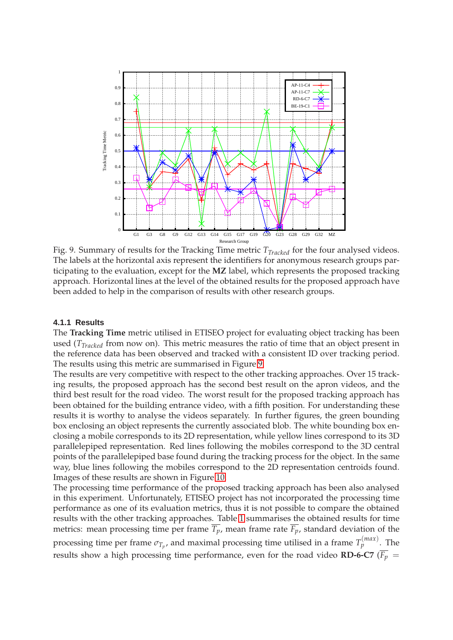<span id="page-20-0"></span>

Fig. 9. Summary of results for the Tracking Time metric *TTracked* for the four analysed videos. The labels at the horizontal axis represent the identifiers for anonymous research groups participating to the evaluation, except for the **MZ** label, which represents the proposed tracking approach. Horizontal lines at the level of the obtained results for the proposed approach have been added to help in the comparison of results with other research groups.

#### **4.1.1 Results**

The **Tracking Time** metric utilised in ETISEO project for evaluating object tracking has been used (*TTracked* from now on). This metric measures the ratio of time that an object present in the reference data has been observed and tracked with a consistent ID over tracking period. The results using this metric are summarised in Figure [9.](#page-20-0)

The results are very competitive with respect to the other tracking approaches. Over 15 tracking results, the proposed approach has the second best result on the apron videos, and the third best result for the road video. The worst result for the proposed tracking approach has been obtained for the building entrance video, with a fifth position. For understanding these results it is worthy to analyse the videos separately. In further figures, the green bounding box enclosing an object represents the currently associated blob. The white bounding box enclosing a mobile corresponds to its 2D representation, while yellow lines correspond to its 3D parallelepiped representation. Red lines following the mobiles correspond to the 3D central points of the parallelepiped base found during the tracking process for the object. In the same way, blue lines following the mobiles correspond to the 2D representation centroids found. Images of these results are shown in Figure [10.](#page-21-0)

The processing time performance of the proposed tracking approach has been also analysed in this experiment. Unfortunately, ETISEO project has not incorporated the processing time performance as one of its evaluation metrics, thus it is not possible to compare the obtained results with the other tracking approaches. Table [1](#page-22-0) summarises the obtained results for time metrics: mean processing time per frame  $\overline{T_p}$ , mean frame rate  $\overline{F_p}$ , standard deviation of the processing time per frame  $\sigma_{T_p}$ , and maximal processing time utilised in a frame  $T_p^{(max)}$ . The results show a high processing time performance, even for the road video **RD-6-C7** ( $\overline{F_p}$  =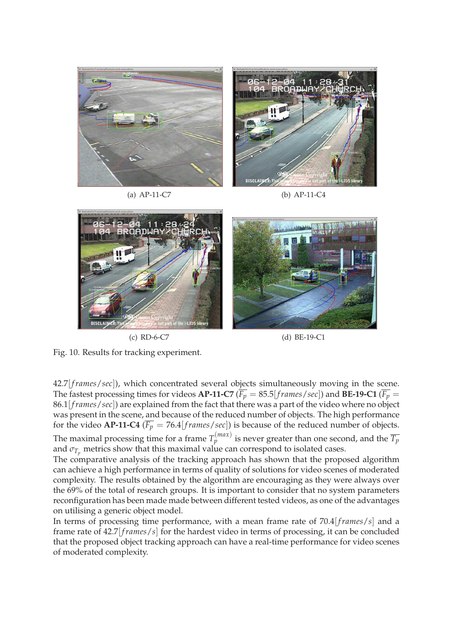<span id="page-21-0"></span>



Fig. 10. Results for tracking experiment.

42.7[ *f rames*/*sec*]), which concentrated several objects simultaneously moving in the scene. The fastest processing times for videos **AP-11-C7** ( $\overline{F_p}$  = 85.5[*f rames*/*sec*]) and **BE-19-C1** ( $\overline{F_p}$  = 86.1[ *f rames*/*sec*]) are explained from the fact that there was a part of the video where no object was present in the scene, and because of the reduced number of objects. The high performance for the video **AP-11-C4** ( $\overline{F_p}$  = 76.4[ $\overline{f$ *rames*/ $\overline{sec}$ ) is because of the reduced number of objects. The maximal processing time for a frame  $T_p^{(max)}$  is never greater than one second, and the  $\overline{T_p}$ and  $\sigma_{\text{T}_p}$  metrics show that this maximal value can correspond to isolated cases.

The comparative analysis of the tracking approach has shown that the proposed algorithm can achieve a high performance in terms of quality of solutions for video scenes of moderated complexity. The results obtained by the algorithm are encouraging as they were always over the 69% of the total of research groups. It is important to consider that no system parameters reconfiguration has been made made between different tested videos, as one of the advantages on utilising a generic object model.

In terms of processing time performance, with a mean frame rate of 70.4[ *f rames*/*s*] and a frame rate of 42.7[ *f rames*/*s*] for the hardest video in terms of processing, it can be concluded that the proposed object tracking approach can have a real-time performance for video scenes of moderated complexity.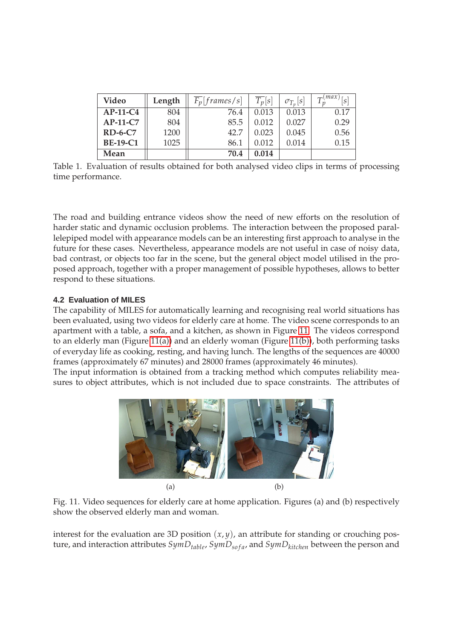<span id="page-22-0"></span>

| Video           | Length | $\overline{F_p}$ [frames/s] | $\overline{T_p}[s]$ | $\sigma_{T_n} s $ | max  |
|-----------------|--------|-----------------------------|---------------------|-------------------|------|
| $AP-11-C4$      | 804    | 76.4                        | 0.013               | 0.013             | 0.17 |
| AP-11-C7        | 804    | 85.5                        | 0.012               | 0.027             | 0.29 |
| $RD-6-C7$       | 1200   | 42.7                        | 0.023               | 0.045             | 0.56 |
| <b>BE-19-C1</b> | 1025   | 86.1                        | 0.012               | 0.014             | 0.15 |
| Mean            |        | 70.4                        | 0.014               |                   |      |

Table 1. Evaluation of results obtained for both analysed video clips in terms of processing time performance.

The road and building entrance videos show the need of new efforts on the resolution of harder static and dynamic occlusion problems. The interaction between the proposed parallelepiped model with appearance models can be an interesting first approach to analyse in the future for these cases. Nevertheless, appearance models are not useful in case of noisy data, bad contrast, or objects too far in the scene, but the general object model utilised in the proposed approach, together with a proper management of possible hypotheses, allows to better respond to these situations.

# **4.2 Evaluation of MILES**

The capability of MILES for automatically learning and recognising real world situations has been evaluated, using two videos for elderly care at home. The video scene corresponds to an apartment with a table, a sofa, and a kitchen, as shown in Figure [11.](#page-22-1) The videos correspond to an elderly man (Figure [11\(a\)\)](#page-22-2) and an elderly woman (Figure [11\(b\)\)](#page-22-3), both performing tasks of everyday life as cooking, resting, and having lunch. The lengths of the sequences are 40000 frames (approximately 67 minutes) and 28000 frames (approximately 46 minutes).

<span id="page-22-2"></span><span id="page-22-1"></span>The input information is obtained from a tracking method which computes reliability measures to object attributes, which is not included due to space constraints. The attributes of

<span id="page-22-3"></span>



interest for the evaluation are 3D position  $(x, y)$ , an attribute for standing or crouching posture, and interaction attributes  $SymD_{table}$ ,  $SymD_{sofa}$ , and  $SymD_{kitchen}$  between the person and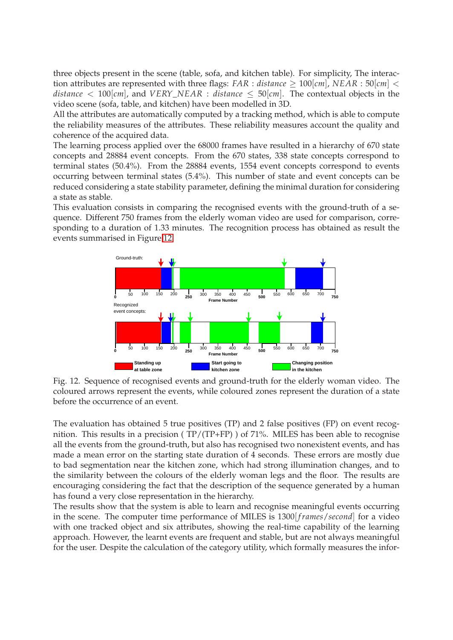three objects present in the scene (table, sofa, and kitchen table). For simplicity, The interaction attributes are represented with three flags: *FAR* : *distance* <sup>≥</sup> <sup>100</sup>[*cm*], *NEAR* : 50[*cm*] <sup>&</sup>lt; *distance*  $\langle 100 \, | \text{cm} \rangle$ , and *VERY\_NEAR* : *distance*  $\langle 50 \, | \text{cm} \rangle$ . The contextual objects in the video scene (sofa, table, and kitchen) have been modelled in 3D.

All the attributes are automatically computed by a tracking method, which is able to compute the reliability measures of the attributes. These reliability measures account the quality and coherence of the acquired data.

The learning process applied over the 68000 frames have resulted in a hierarchy of 670 state concepts and 28884 event concepts. From the 670 states, 338 state concepts correspond to terminal states (50.4%). From the 28884 events, 1554 event concepts correspond to events occurring between terminal states (5.4%). This number of state and event concepts can be reduced considering a state stability parameter, defining the minimal duration for considering a state as stable.

<span id="page-23-0"></span>This evaluation consists in comparing the recognised events with the ground-truth of a sequence. Different 750 frames from the elderly woman video are used for comparison, corresponding to a duration of 1.33 minutes. The recognition process has obtained as result the events summarised in Figure [12.](#page-23-0)



Fig. 12. Sequence of recognised events and ground-truth for the elderly woman video. The coloured arrows represent the events, while coloured zones represent the duration of a state before the occurrence of an event.

The evaluation has obtained 5 true positives (TP) and 2 false positives (FP) on event recognition. This results in a precision ( TP/(TP+FP) ) of 71%. MILES has been able to recognise all the events from the ground-truth, but also has recognised two nonexistent events, and has made a mean error on the starting state duration of 4 seconds. These errors are mostly due to bad segmentation near the kitchen zone, which had strong illumination changes, and to the similarity between the colours of the elderly woman legs and the floor. The results are encouraging considering the fact that the description of the sequence generated by a human has found a very close representation in the hierarchy.

The results show that the system is able to learn and recognise meaningful events occurring in the scene. The computer time performance of MILES is 1300[ *f rames*/*second*] for a video with one tracked object and six attributes, showing the real-time capability of the learning approach. However, the learnt events are frequent and stable, but are not always meaningful for the user. Despite the calculation of the category utility, which formally measures the infor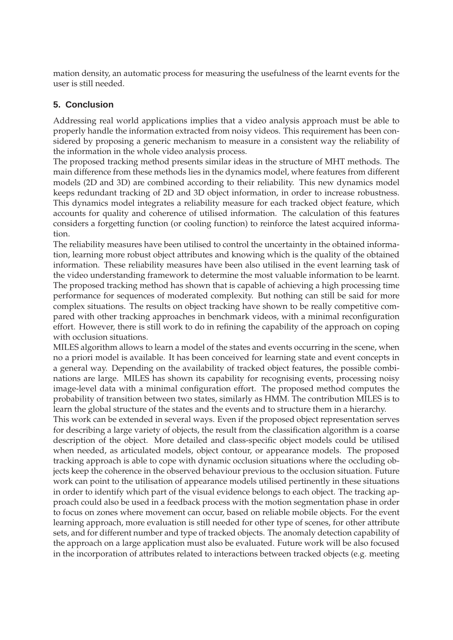mation density, an automatic process for measuring the usefulness of the learnt events for the user is still needed.

# **5. Conclusion**

Addressing real world applications implies that a video analysis approach must be able to properly handle the information extracted from noisy videos. This requirement has been considered by proposing a generic mechanism to measure in a consistent way the reliability of the information in the whole video analysis process.

The proposed tracking method presents similar ideas in the structure of MHT methods. The main difference from these methods lies in the dynamics model, where features from different models (2D and 3D) are combined according to their reliability. This new dynamics model keeps redundant tracking of 2D and 3D object information, in order to increase robustness. This dynamics model integrates a reliability measure for each tracked object feature, which accounts for quality and coherence of utilised information. The calculation of this features considers a forgetting function (or cooling function) to reinforce the latest acquired information.

The reliability measures have been utilised to control the uncertainty in the obtained information, learning more robust object attributes and knowing which is the quality of the obtained information. These reliability measures have been also utilised in the event learning task of the video understanding framework to determine the most valuable information to be learnt. The proposed tracking method has shown that is capable of achieving a high processing time performance for sequences of moderated complexity. But nothing can still be said for more complex situations. The results on object tracking have shown to be really competitive compared with other tracking approaches in benchmark videos, with a minimal reconfiguration effort. However, there is still work to do in refining the capability of the approach on coping with occlusion situations.

MILES algorithm allows to learn a model of the states and events occurring in the scene, when no a priori model is available. It has been conceived for learning state and event concepts in a general way. Depending on the availability of tracked object features, the possible combinations are large. MILES has shown its capability for recognising events, processing noisy image-level data with a minimal configuration effort. The proposed method computes the probability of transition between two states, similarly as HMM. The contribution MILES is to learn the global structure of the states and the events and to structure them in a hierarchy.

This work can be extended in several ways. Even if the proposed object representation serves for describing a large variety of objects, the result from the classification algorithm is a coarse description of the object. More detailed and class-specific object models could be utilised when needed, as articulated models, object contour, or appearance models. The proposed tracking approach is able to cope with dynamic occlusion situations where the occluding objects keep the coherence in the observed behaviour previous to the occlusion situation. Future work can point to the utilisation of appearance models utilised pertinently in these situations in order to identify which part of the visual evidence belongs to each object. The tracking approach could also be used in a feedback process with the motion segmentation phase in order to focus on zones where movement can occur, based on reliable mobile objects. For the event learning approach, more evaluation is still needed for other type of scenes, for other attribute sets, and for different number and type of tracked objects. The anomaly detection capability of the approach on a large application must also be evaluated. Future work will be also focused in the incorporation of attributes related to interactions between tracked objects (e.g. meeting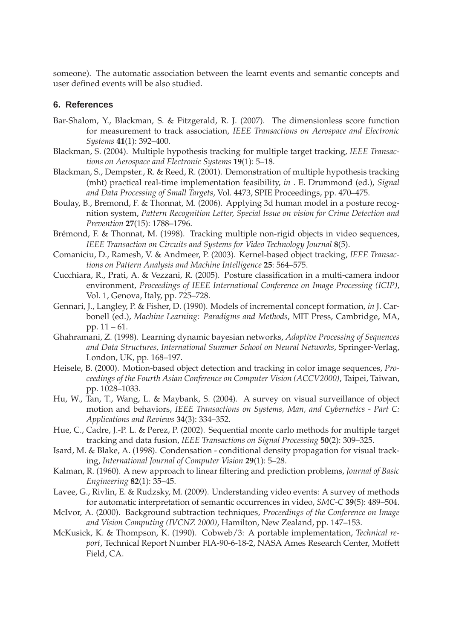someone). The automatic association between the learnt events and semantic concepts and user defined events will be also studied.

# **6. References**

- <span id="page-25-3"></span>Bar-Shalom, Y., Blackman, S. & Fitzgerald, R. J. (2007). The dimensionless score function for measurement to track association, *IEEE Transactions on Aerospace and Electronic Systems* **41**(1): 392–400.
- <span id="page-25-5"></span>Blackman, S. (2004). Multiple hypothesis tracking for multiple target tracking, *IEEE Transactions on Aerospace and Electronic Systems* **19**(1): 5–18.
- <span id="page-25-4"></span>Blackman, S., Dempster., R. & Reed, R. (2001). Demonstration of multiple hypothesis tracking (mht) practical real-time implementation feasibility, *in* . E. Drummond (ed.), *Signal and Data Processing of Small Targets*, Vol. 4473, SPIE Proceedings, pp. 470–475.
- <span id="page-25-13"></span>Boulay, B., Bremond, F. & Thonnat, M. (2006). Applying 3d human model in a posture recognition system, *Pattern Recognition Letter, Special Issue on vision for Crime Detection and Prevention* **27**(15): 1788–1796.
- <span id="page-25-9"></span>Brémond, F. & Thonnat, M. (1998). Tracking multiple non-rigid objects in video sequences, *IEEE Transaction on Circuits and Systems for Video Technology Journal* **8**(5).
- <span id="page-25-12"></span>Comaniciu, D., Ramesh, V. & Andmeer, P. (2003). Kernel-based object tracking, *IEEE Transactions on Pattern Analysis and Machine Intelligence* **25**: 564–575.
- <span id="page-25-11"></span>Cucchiara, R., Prati, A. & Vezzani, R. (2005). Posture classification in a multi-camera indoor environment, *Proceedings of IEEE International Conference on Image Processing (ICIP)*, Vol. 1, Genova, Italy, pp. 725–728.
- <span id="page-25-15"></span>Gennari, J., Langley, P. & Fisher, D. (1990). Models of incremental concept formation, *in* J. Carbonell (ed.), *Machine Learning: Paradigms and Methods*, MIT Press, Cambridge, MA, pp. 11 – 61.
- <span id="page-25-14"></span>Ghahramani, Z. (1998). Learning dynamic bayesian networks, *Adaptive Processing of Sequences and Data Structures, International Summer School on Neural Networks*, Springer-Verlag, London, UK, pp. 168–197.
- <span id="page-25-10"></span>Heisele, B. (2000). Motion-based object detection and tracking in color image sequences, *Proceedings of the Fourth Asian Conference on Computer Vision (ACCV2000)*, Taipei, Taiwan, pp. 1028–1033.
- <span id="page-25-0"></span>Hu, W., Tan, T., Wang, L. & Maybank, S. (2004). A survey on visual surveillance of object motion and behaviors, *IEEE Transactions on Systems, Man, and Cybernetics - Part C: Applications and Reviews* **34**(3): 334–352.
- <span id="page-25-8"></span>Hue, C., Cadre, J.-P. L. & Perez, P. (2002). Sequential monte carlo methods for multiple target tracking and data fusion, *IEEE Transactions on Signal Processing* **50**(2): 309–325.
- <span id="page-25-7"></span>Isard, M. & Blake, A. (1998). Condensation - conditional density propagation for visual tracking, *International Journal of Computer Vision* **29**(1): 5–28.
- <span id="page-25-6"></span>Kalman, R. (1960). A new approach to linear filtering and prediction problems, *Journal of Basic Engineering* **82**(1): 35–45.
- <span id="page-25-1"></span>Lavee, G., Rivlin, E. & Rudzsky, M. (2009). Understanding video events: A survey of methods for automatic interpretation of semantic occurrences in video, *SMC-C* **39**(5): 489–504.
- <span id="page-25-2"></span>McIvor, A. (2000). Background subtraction techniques, *Proceedings of the Conference on Image and Vision Computing (IVCNZ 2000)*, Hamilton, New Zealand, pp. 147–153.
- <span id="page-25-16"></span>McKusick, K. & Thompson, K. (1990). Cobweb/3: A portable implementation, *Technical report*, Technical Report Number FIA-90-6-18-2, NASA Ames Research Center, Moffett Field, CA.